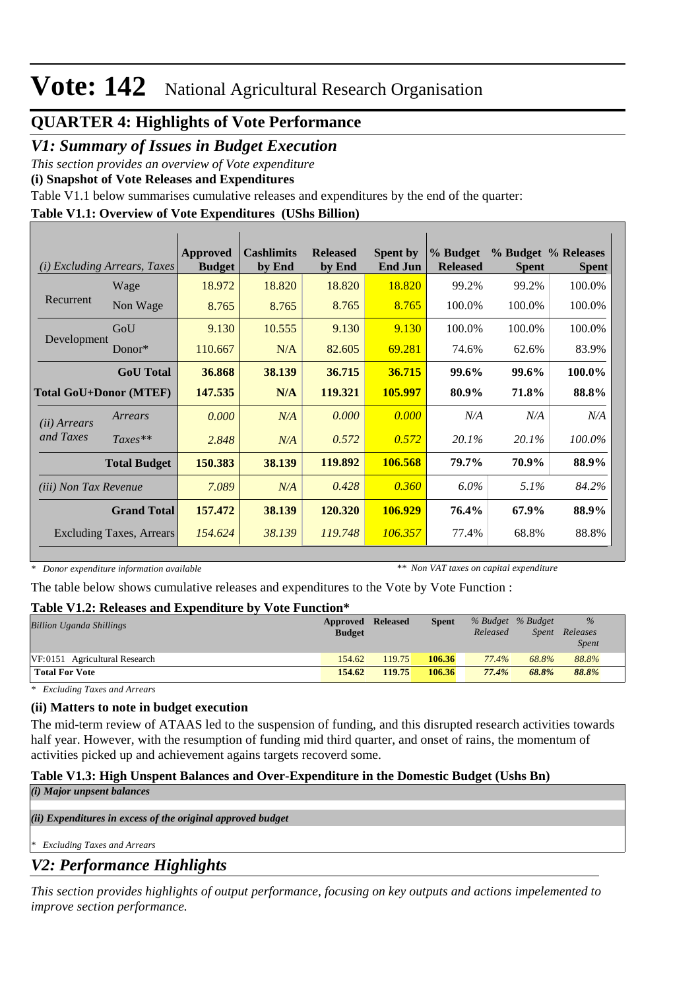### **QUARTER 4: Highlights of Vote Performance**

## *V1: Summary of Issues in Budget Execution*

*This section provides an overview of Vote expenditure* 

**(i) Snapshot of Vote Releases and Expenditures**

Table V1.1 below summarises cumulative releases and expenditures by the end of the quarter:

### **Table V1.1: Overview of Vote Expenditures (UShs Billion)**

| <b>Excluding Arrears, Taxes</b><br>(i) |                                 | Approved<br><b>Budget</b> | <b>Cashlimits</b><br>by End | <b>Released</b><br>by End | <b>Spent by</b><br><b>End Jun</b> | % Budget<br><b>Released</b> | <b>Spent</b> | % Budget % Releases<br><b>Spent</b> |
|----------------------------------------|---------------------------------|---------------------------|-----------------------------|---------------------------|-----------------------------------|-----------------------------|--------------|-------------------------------------|
|                                        | Wage                            | 18.972                    | 18.820                      | 18.820                    | 18.820                            | 99.2%                       | 99.2%        | 100.0%                              |
| Recurrent                              | Non Wage                        | 8.765                     | 8.765                       | 8.765                     | 8.765                             | 100.0%                      | 100.0%       | 100.0%                              |
|                                        | GoU                             | 9.130                     | 10.555                      | 9.130                     | 9.130                             | 100.0%                      | 100.0%       | 100.0%                              |
| Development                            | $Donor*$                        | 110.667                   | N/A                         | 82.605                    | 69.281                            | 74.6%                       | 62.6%        | 83.9%                               |
|                                        | <b>GoU</b> Total                | 36.868                    | 38.139                      | 36.715                    | 36.715                            | 99.6%                       | 99.6%        | 100.0%                              |
|                                        | <b>Total GoU+Donor (MTEF)</b>   | 147.535                   | N/A                         | 119.321                   | 105.997                           | 80.9%                       | 71.8%        | 88.8%                               |
| ( <i>ii</i> ) Arrears                  | Arrears                         | 0.000                     | N/A                         | 0.000                     | 0.000                             | N/A                         | N/A          | N/A                                 |
| and Taxes                              | $Taxes**$                       | 2.848                     | N/A                         | 0.572                     | 0.572                             | $20.1\%$                    | 20.1%        | 100.0%                              |
|                                        | <b>Total Budget</b>             | 150.383                   | 38.139                      | 119.892                   | 106.568                           | 79.7%                       | 70.9%        | 88.9%                               |
| (iii) Non Tax Revenue                  |                                 | 7.089                     | N/A                         | 0.428                     | 0.360                             | $6.0\%$                     | $5.1\%$      | 84.2%                               |
|                                        | <b>Grand Total</b>              | 157.472                   | 38.139                      | 120.320                   | 106.929                           | 76.4%                       | 67.9%        | 88.9%                               |
|                                        | <b>Excluding Taxes, Arrears</b> | 154.624                   | 38.139                      | 119.748                   | 106.357                           | 77.4%                       | 68.8%        | 88.8%                               |

*\* Donor expenditure information available*

*\*\* Non VAT taxes on capital expenditure*

The table below shows cumulative releases and expenditures to the Vote by Vote Function :

### **Table V1.2: Releases and Expenditure by Vote Function\***

| ---------------                 |                   |        |              |          |                   |              |  |
|---------------------------------|-------------------|--------|--------------|----------|-------------------|--------------|--|
| <b>Billion Uganda Shillings</b> | Approved Released |        | <b>Spent</b> |          | % Budget % Budget | $\%$         |  |
|                                 | <b>Budget</b>     |        |              | Released | Spent             | Releases     |  |
|                                 |                   |        |              |          |                   | <b>Spent</b> |  |
| VF:0151 Agricultural Research   | 154.62            | 119.75 | 106.36       | 77.4%    | 68.8%             | 88.8%        |  |
| <b>Total For Vote</b>           | 154.62            | 119.75 | 106.36       | 77.4%    | 68.8%             | 88.8%        |  |

*\* Excluding Taxes and Arrears*

### **(ii) Matters to note in budget execution**

The mid-term review of ATAAS led to the suspension of funding, and this disrupted research activities towards half year. However, with the resumption of funding mid third quarter, and onset of rains, the momentum of activities picked up and achievement agains targets recoverd some.

### **Table V1.3: High Unspent Balances and Over-Expenditure in the Domestic Budget (Ushs Bn)**

*(i) Major unpsent balances*

*(ii) Expenditures in excess of the original approved budget*

*\* Excluding Taxes and Arrears*

## *V2: Performance Highlights*

*This section provides highlights of output performance, focusing on key outputs and actions impelemented to improve section performance.*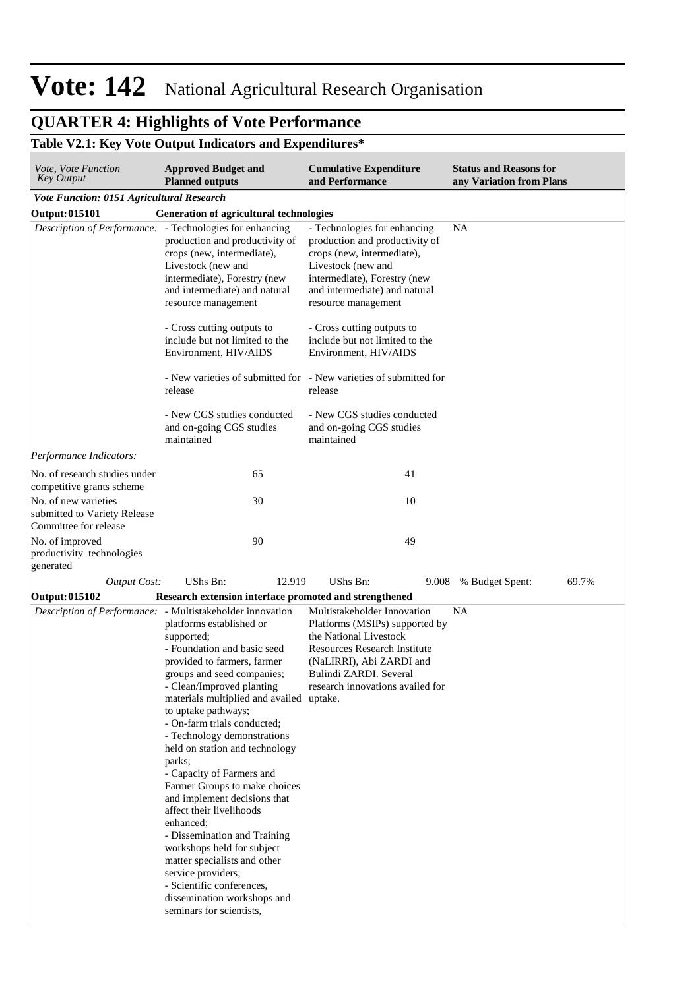#### **QUARTER 4: Highlights of Vote Performance** *This section provides highlights of output performance, focusing on key outputs and actions impelemented to improve section performance.*

### **Table V2.1: Key Vote Output Indicators and Expenditures\***

| Vote, Vote Function<br><b>Key Output</b>                                      | <b>Cumulative Expenditure</b><br>and Performance                                                                                                                                                                                                                                                                                                                                                                                                                                                                                                                                                                                                                                                                                                             | <b>Status and Reasons for</b><br>any Variation from Plans                                                                                                                                                                |                          |
|-------------------------------------------------------------------------------|--------------------------------------------------------------------------------------------------------------------------------------------------------------------------------------------------------------------------------------------------------------------------------------------------------------------------------------------------------------------------------------------------------------------------------------------------------------------------------------------------------------------------------------------------------------------------------------------------------------------------------------------------------------------------------------------------------------------------------------------------------------|--------------------------------------------------------------------------------------------------------------------------------------------------------------------------------------------------------------------------|--------------------------|
| <b>Vote Function: 0151 Agricultural Research</b>                              |                                                                                                                                                                                                                                                                                                                                                                                                                                                                                                                                                                                                                                                                                                                                                              |                                                                                                                                                                                                                          |                          |
| <b>Output: 015101</b>                                                         | Generation of agricultural technologies                                                                                                                                                                                                                                                                                                                                                                                                                                                                                                                                                                                                                                                                                                                      |                                                                                                                                                                                                                          |                          |
|                                                                               | Description of Performance: - Technologies for enhancing<br>production and productivity of<br>crops (new, intermediate),<br>Livestock (new and<br>intermediate), Forestry (new<br>and intermediate) and natural<br>resource management                                                                                                                                                                                                                                                                                                                                                                                                                                                                                                                       | - Technologies for enhancing<br>production and productivity of<br>crops (new, intermediate),<br>Livestock (new and<br>intermediate), Forestry (new<br>and intermediate) and natural<br>resource management               | <b>NA</b>                |
|                                                                               | - Cross cutting outputs to<br>include but not limited to the<br>Environment, HIV/AIDS                                                                                                                                                                                                                                                                                                                                                                                                                                                                                                                                                                                                                                                                        | - Cross cutting outputs to<br>include but not limited to the<br>Environment, HIV/AIDS                                                                                                                                    |                          |
|                                                                               | release                                                                                                                                                                                                                                                                                                                                                                                                                                                                                                                                                                                                                                                                                                                                                      | - New varieties of submitted for - New varieties of submitted for<br>release                                                                                                                                             |                          |
|                                                                               | - New CGS studies conducted<br>and on-going CGS studies<br>maintained                                                                                                                                                                                                                                                                                                                                                                                                                                                                                                                                                                                                                                                                                        | - New CGS studies conducted<br>and on-going CGS studies<br>maintained                                                                                                                                                    |                          |
| Performance Indicators:                                                       |                                                                                                                                                                                                                                                                                                                                                                                                                                                                                                                                                                                                                                                                                                                                                              |                                                                                                                                                                                                                          |                          |
| No. of research studies under<br>competitive grants scheme                    | 65                                                                                                                                                                                                                                                                                                                                                                                                                                                                                                                                                                                                                                                                                                                                                           | 41                                                                                                                                                                                                                       |                          |
| No. of new varieties<br>submitted to Variety Release<br>Committee for release | 30                                                                                                                                                                                                                                                                                                                                                                                                                                                                                                                                                                                                                                                                                                                                                           | 10                                                                                                                                                                                                                       |                          |
| No. of improved<br>productivity technologies<br>generated                     | 90                                                                                                                                                                                                                                                                                                                                                                                                                                                                                                                                                                                                                                                                                                                                                           | 49                                                                                                                                                                                                                       |                          |
| <b>Output Cost:</b>                                                           | <b>UShs Bn:</b><br>12.919                                                                                                                                                                                                                                                                                                                                                                                                                                                                                                                                                                                                                                                                                                                                    | UShs Bn:<br>9.008                                                                                                                                                                                                        | % Budget Spent:<br>69.7% |
| <b>Output: 015102</b>                                                         | Research extension interface promoted and strengthened                                                                                                                                                                                                                                                                                                                                                                                                                                                                                                                                                                                                                                                                                                       |                                                                                                                                                                                                                          |                          |
|                                                                               | Description of Performance: - Multistakeholder innovation<br>platforms established or<br>supported;<br>- Foundation and basic seed<br>provided to farmers, farmer<br>groups and seed companies;<br>- Clean/Improved planting<br>materials multiplied and availed uptake.<br>to uptake pathways;<br>- On-farm trials conducted;<br>- Technology demonstrations<br>held on station and technology<br>parks;<br>- Capacity of Farmers and<br>Farmer Groups to make choices<br>and implement decisions that<br>affect their livelihoods<br>enhanced;<br>- Dissemination and Training<br>workshops held for subject<br>matter specialists and other<br>service providers;<br>- Scientific conferences,<br>dissemination workshops and<br>seminars for scientists, | Multistakeholder Innovation<br>Platforms (MSIPs) supported by<br>the National Livestock<br><b>Resources Research Institute</b><br>(NaLIRRI), Abi ZARDI and<br>Bulindi ZARDI. Several<br>research innovations availed for | NA                       |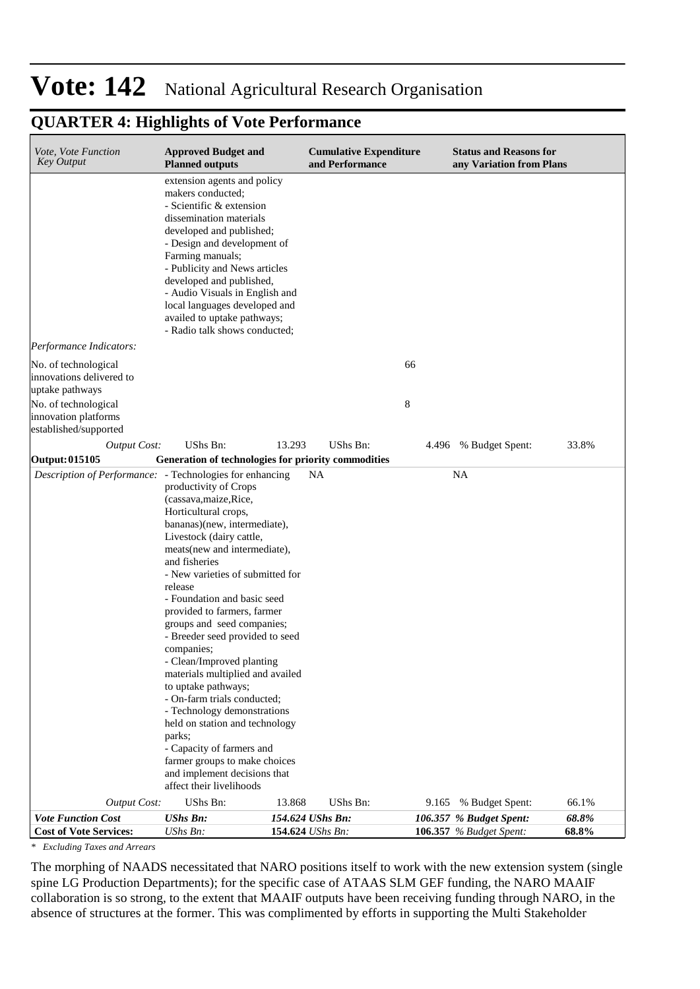## **QUARTER 4: Highlights of Vote Performance**

| Vote, Vote Function<br><b>Key Output</b>                 | <b>Approved Budget and</b><br><b>Planned outputs</b>                                                                                                                                                                                                                                                                                                                                                                                                                                                                                                                                                                                                                                                          |                  | <b>Cumulative Expenditure</b><br>and Performance |       | <b>Status and Reasons for</b><br>any Variation from Plans |       |
|----------------------------------------------------------|---------------------------------------------------------------------------------------------------------------------------------------------------------------------------------------------------------------------------------------------------------------------------------------------------------------------------------------------------------------------------------------------------------------------------------------------------------------------------------------------------------------------------------------------------------------------------------------------------------------------------------------------------------------------------------------------------------------|------------------|--------------------------------------------------|-------|-----------------------------------------------------------|-------|
|                                                          | extension agents and policy<br>makers conducted;<br>- Scientific & extension<br>dissemination materials<br>developed and published;<br>- Design and development of<br>Farming manuals;<br>- Publicity and News articles<br>developed and published,<br>- Audio Visuals in English and<br>local languages developed and<br>availed to uptake pathways;<br>- Radio talk shows conducted;                                                                                                                                                                                                                                                                                                                        |                  |                                                  |       |                                                           |       |
| Performance Indicators:                                  |                                                                                                                                                                                                                                                                                                                                                                                                                                                                                                                                                                                                                                                                                                               |                  |                                                  |       |                                                           |       |
| No. of technological                                     |                                                                                                                                                                                                                                                                                                                                                                                                                                                                                                                                                                                                                                                                                                               |                  |                                                  | 66    |                                                           |       |
| innovations delivered to                                 |                                                                                                                                                                                                                                                                                                                                                                                                                                                                                                                                                                                                                                                                                                               |                  |                                                  |       |                                                           |       |
| uptake pathways                                          |                                                                                                                                                                                                                                                                                                                                                                                                                                                                                                                                                                                                                                                                                                               |                  |                                                  |       |                                                           |       |
| No. of technological                                     |                                                                                                                                                                                                                                                                                                                                                                                                                                                                                                                                                                                                                                                                                                               |                  |                                                  | 8     |                                                           |       |
| innovation platforms<br>established/supported            |                                                                                                                                                                                                                                                                                                                                                                                                                                                                                                                                                                                                                                                                                                               |                  |                                                  |       |                                                           |       |
|                                                          | UShs Bn:                                                                                                                                                                                                                                                                                                                                                                                                                                                                                                                                                                                                                                                                                                      | 13.293           | UShs Bn:                                         |       |                                                           | 33.8% |
| <b>Output Cost:</b><br><b>Output: 015105</b>             | Generation of technologies for priority commodities                                                                                                                                                                                                                                                                                                                                                                                                                                                                                                                                                                                                                                                           |                  |                                                  |       | 4.496 % Budget Spent:                                     |       |
| Description of Performance: - Technologies for enhancing |                                                                                                                                                                                                                                                                                                                                                                                                                                                                                                                                                                                                                                                                                                               | NA               |                                                  |       | NA                                                        |       |
|                                                          | productivity of Crops<br>(cassava, maize, Rice,<br>Horticultural crops,<br>bananas)(new, intermediate),<br>Livestock (dairy cattle,<br>meats (new and intermediate),<br>and fisheries<br>- New varieties of submitted for<br>release<br>- Foundation and basic seed<br>provided to farmers, farmer<br>groups and seed companies;<br>- Breeder seed provided to seed<br>companies;<br>- Clean/Improved planting<br>materials multiplied and availed<br>to uptake pathways;<br>- On-farm trials conducted;<br>- Technology demonstrations<br>held on station and technology<br>parks;<br>- Capacity of farmers and<br>farmer groups to make choices<br>and implement decisions that<br>affect their livelihoods |                  |                                                  |       |                                                           |       |
| <b>Output Cost:</b>                                      | UShs Bn:                                                                                                                                                                                                                                                                                                                                                                                                                                                                                                                                                                                                                                                                                                      | 13.868           | <b>UShs Bn:</b>                                  | 9.165 | % Budget Spent:                                           | 66.1% |
| <b>Vote Function Cost</b>                                | <b>UShs Bn:</b>                                                                                                                                                                                                                                                                                                                                                                                                                                                                                                                                                                                                                                                                                               | 154.624 UShs Bn: |                                                  |       | 106.357 % Budget Spent:                                   | 68.8% |
| <b>Cost of Vote Services:</b>                            | UShs Bn:                                                                                                                                                                                                                                                                                                                                                                                                                                                                                                                                                                                                                                                                                                      | 154.624 UShs Bn: |                                                  |       | <b>106.357</b> % Budget Spent:                            | 68.8% |

*\* Excluding Taxes and Arrears*

The morphing of NAADS necessitated that NARO positions itself to work with the new extension system (single spine LG Production Departments); for the specific case of ATAAS SLM GEF funding, the NARO MAAIF collaboration is so strong, to the extent that MAAIF outputs have been receiving funding through NARO, in the absence of structures at the former. This was complimented by efforts in supporting the Multi Stakeholder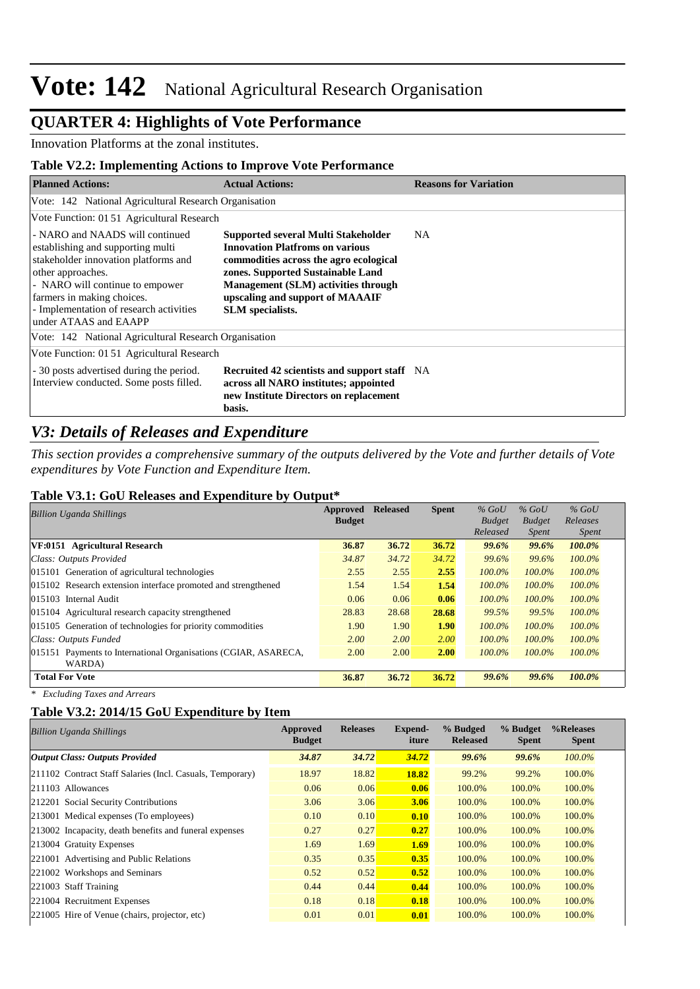## **QUARTER 4: Highlights of Vote Performance**

Innovation Platforms at the zonal institutes.

### **Table V2.2: Implementing Actions to Improve Vote Performance**

| <b>Planned Actions:</b>                                                                                                                                                                                                                                                 | <b>Actual Actions:</b>                                                                                                                                                                                                                                            | <b>Reasons for Variation</b> |
|-------------------------------------------------------------------------------------------------------------------------------------------------------------------------------------------------------------------------------------------------------------------------|-------------------------------------------------------------------------------------------------------------------------------------------------------------------------------------------------------------------------------------------------------------------|------------------------------|
| Vote: 142 National Agricultural Research Organisation                                                                                                                                                                                                                   |                                                                                                                                                                                                                                                                   |                              |
| Vote Function: 01 51 Agricultural Research                                                                                                                                                                                                                              |                                                                                                                                                                                                                                                                   |                              |
| - NARO and NAADS will continued<br>establishing and supporting multi-<br>stakeholder innovation platforms and<br>other approaches.<br>- NARO will continue to empower<br>farmers in making choices.<br>- Implementation of research activities<br>under ATAAS and EAAPP | Supported several Multi Stakeholder<br><b>Innovation Platfroms on various</b><br>commodities across the agro ecological<br>zones. Supported Sustainable Land<br>Management (SLM) activities through<br>upscaling and support of MAAAIF<br><b>SLM</b> specialists. | NA.                          |
| Vote: 142 National Agricultural Research Organisation                                                                                                                                                                                                                   |                                                                                                                                                                                                                                                                   |                              |
| Vote Function: 01 51 Agricultural Research                                                                                                                                                                                                                              |                                                                                                                                                                                                                                                                   |                              |
| - 30 posts advertised during the period.<br>Interview conducted. Some posts filled.                                                                                                                                                                                     | <b>Recruited 42 scientists and support staff</b> NA<br>across all NARO institutes; appointed<br>new Institute Directors on replacement<br>basis.                                                                                                                  |                              |

## *V3: Details of Releases and Expenditure*

*This section provides a comprehensive summary of the outputs delivered by the Vote and further details of Vote expenditures by Vote Function and Expenditure Item.*

#### **Table V3.1: GoU Releases and Expenditure by Output\***

| <b>Billion Uganda Shillings</b>                                 | Approved      | <b>Released</b> | <b>Spent</b> | $%$ GoU       | $%$ GoU       | $%$ GoU      |
|-----------------------------------------------------------------|---------------|-----------------|--------------|---------------|---------------|--------------|
|                                                                 | <b>Budget</b> |                 |              | <b>Budget</b> | <b>Budget</b> | Releases     |
|                                                                 |               |                 |              | Released      | <i>Spent</i>  | <i>Spent</i> |
| VF:0151 Agricultural Research                                   | 36.87         | 36.72           | 36.72        | 99.6%         | 99.6%         | 100.0%       |
| Class: Outputs Provided                                         | 34.87         | 34.72           | 34.72        | 99.6%         | 99.6%         | $100.0\%$    |
| 015101 Generation of agricultural technologies                  | 2.55          | 2.55            | 2.55         | $100.0\%$     | 100.0%        | $100.0\%$    |
| 015102 Research extension interface promoted and strengthened   | 1.54          | 1.54            | 1.54         | $100.0\%$     | 100.0%        | $100.0\%$    |
| 015103 Internal Audit                                           | 0.06          | 0.06            | 0.06         | $100.0\%$     | 100.0%        | $100.0\%$    |
| 015104 Agricultural research capacity strengthened              | 28.83         | 28.68           | 28.68        | 99.5%         | 99.5%         | 100.0%       |
| 015105 Generation of technologies for priority commodities      | 1.90          | 1.90            | 1.90         | $100.0\%$     | 100.0%        | 100.0%       |
| Class: Outputs Funded                                           | 2.00          | 2.00            | 2.00         | $100.0\%$     | 100.0%        | 100.0%       |
| 015151 Payments to International Organisations (CGIAR, ASARECA, | 2.00          | 2.00            | 2.00         | $100.0\%$     | 100.0%        | $100.0\%$    |
| WARDA)                                                          |               |                 |              |               |               |              |
| <b>Total For Vote</b>                                           | 36.87         | 36.72           | 36.72        | 99.6%         | 99.6%         | 100.0%       |
| $\sim$ $\sim$ $\sim$ $\sim$ $\sim$ $\sim$ $\sim$<br>$\cdots$    |               |                 |              |               |               |              |

*\* Excluding Taxes and Arrears*

### **Table V3.2: 2014/15 GoU Expenditure by Item**

| <b>Billion Uganda Shillings</b>                           | Approved<br><b>Budget</b> | <b>Releases</b> | Expend-<br>iture | % Budged<br><b>Released</b> | % Budget<br><b>Spent</b> | %Releases<br><b>Spent</b> |
|-----------------------------------------------------------|---------------------------|-----------------|------------------|-----------------------------|--------------------------|---------------------------|
| Output Class: Outputs Provided                            | 34.87                     | 34.72           | 34.72            | <b>99.6%</b>                | 99.6%                    | $100.0\%$                 |
| 211102 Contract Staff Salaries (Incl. Casuals, Temporary) | 18.97                     | 18.82           | 18.82            | 99.2%                       | 99.2%                    | 100.0%                    |
| 211103 Allowances                                         | 0.06                      | 0.06            | 0.06             | 100.0%                      | 100.0%                   | 100.0%                    |
| 212201 Social Security Contributions                      | 3.06                      | 3.06            | 3.06             | 100.0%                      | 100.0%                   | 100.0%                    |
| 213001 Medical expenses (To employees)                    | 0.10                      | 0.10            | 0.10             | 100.0%                      | 100.0%                   | 100.0%                    |
| 213002 Incapacity, death benefits and funeral expenses    | 0.27                      | 0.27            | 0.27             | 100.0%                      | 100.0%                   | 100.0%                    |
| 213004 Gratuity Expenses                                  | 1.69                      | 1.69            | 1.69             | 100.0%                      | 100.0%                   | 100.0%                    |
| 221001 Advertising and Public Relations                   | 0.35                      | 0.35            | 0.35             | 100.0%                      | 100.0%                   | 100.0%                    |
| 221002 Workshops and Seminars                             | 0.52                      | 0.52            | 0.52             | 100.0%                      | 100.0%                   | 100.0%                    |
| 221003 Staff Training                                     | 0.44                      | 0.44            | 0.44             | 100.0%                      | 100.0%                   | 100.0%                    |
| 221004 Recruitment Expenses                               | 0.18                      | 0.18            | 0.18             | 100.0%                      | 100.0%                   | 100.0%                    |
| 221005 Hire of Venue (chairs, projector, etc)             | 0.01                      | 0.01            | 0.01             | 100.0%                      | 100.0%                   | 100.0%                    |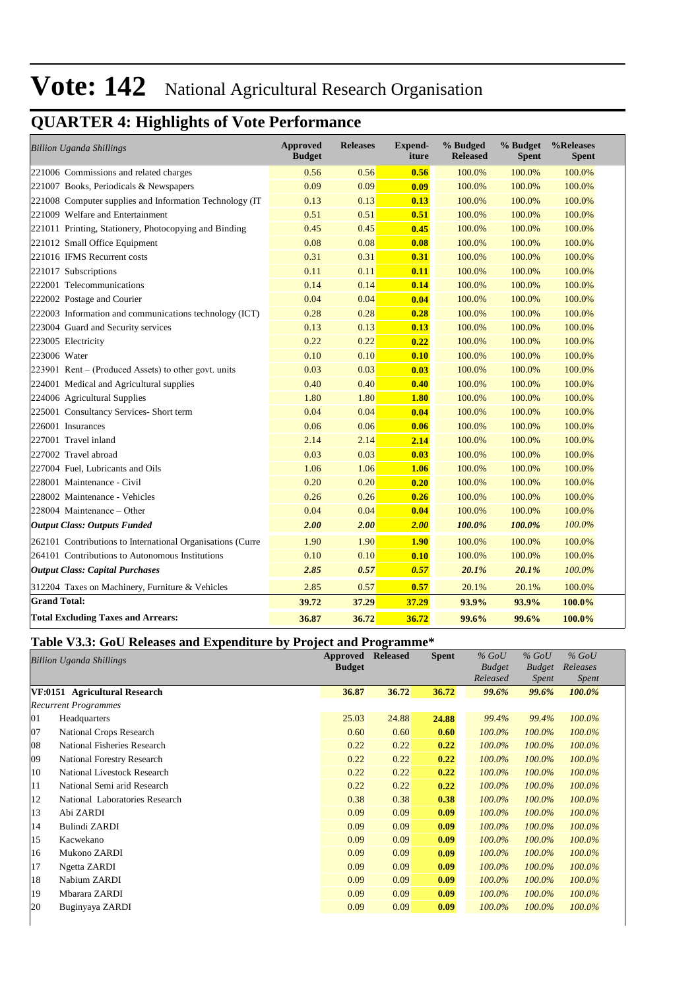## **QUARTER 4: Highlights of Vote Performance**

| <b>Billion Uganda Shillings</b>                            | <b>Approved</b><br><b>Budget</b> | <b>Releases</b> | <b>Expend-</b><br>iture | % Budged<br><b>Released</b> | % Budget<br><b>Spent</b> | %Releases<br><b>Spent</b> |
|------------------------------------------------------------|----------------------------------|-----------------|-------------------------|-----------------------------|--------------------------|---------------------------|
| 221006 Commissions and related charges                     | 0.56                             | 0.56            | 0.56                    | 100.0%                      | 100.0%                   | 100.0%                    |
| 221007 Books, Periodicals & Newspapers                     | 0.09                             | 0.09            | 0.09                    | 100.0%                      | 100.0%                   | 100.0%                    |
| 221008 Computer supplies and Information Technology (IT    | 0.13                             | 0.13            | 0.13                    | 100.0%                      | 100.0%                   | 100.0%                    |
| 221009 Welfare and Entertainment                           | 0.51                             | 0.51            | 0.51                    | 100.0%                      | 100.0%                   | 100.0%                    |
| 221011 Printing, Stationery, Photocopying and Binding      | 0.45                             | 0.45            | 0.45                    | 100.0%                      | 100.0%                   | 100.0%                    |
| 221012 Small Office Equipment                              | 0.08                             | 0.08            | 0.08                    | 100.0%                      | 100.0%                   | 100.0%                    |
| 221016 IFMS Recurrent costs                                | 0.31                             | 0.31            | 0.31                    | 100.0%                      | 100.0%                   | 100.0%                    |
| 221017 Subscriptions                                       | 0.11                             | 0.11            | 0.11                    | 100.0%                      | 100.0%                   | 100.0%                    |
| 222001 Telecommunications                                  | 0.14                             | 0.14            | 0.14                    | 100.0%                      | 100.0%                   | 100.0%                    |
| 222002 Postage and Courier                                 | 0.04                             | 0.04            | 0.04                    | 100.0%                      | 100.0%                   | 100.0%                    |
| 222003 Information and communications technology (ICT)     | 0.28                             | 0.28            | 0.28                    | 100.0%                      | 100.0%                   | 100.0%                    |
| 223004 Guard and Security services                         | 0.13                             | 0.13            | 0.13                    | 100.0%                      | 100.0%                   | 100.0%                    |
| 223005 Electricity                                         | 0.22                             | 0.22            | 0.22                    | 100.0%                      | 100.0%                   | 100.0%                    |
| 223006 Water                                               | 0.10                             | 0.10            | 0.10                    | 100.0%                      | 100.0%                   | 100.0%                    |
| 223901 Rent – (Produced Assets) to other govt. units       | 0.03                             | 0.03            | 0.03                    | 100.0%                      | 100.0%                   | 100.0%                    |
| 224001 Medical and Agricultural supplies                   | 0.40                             | 0.40            | 0.40                    | 100.0%                      | 100.0%                   | 100.0%                    |
| 224006 Agricultural Supplies                               | 1.80                             | 1.80            | 1.80                    | 100.0%                      | 100.0%                   | 100.0%                    |
| 225001 Consultancy Services- Short term                    | 0.04                             | 0.04            | 0.04                    | 100.0%                      | 100.0%                   | 100.0%                    |
| 226001 Insurances                                          | 0.06                             | 0.06            | 0.06                    | 100.0%                      | 100.0%                   | 100.0%                    |
| 227001 Travel inland                                       | 2.14                             | 2.14            | 2.14                    | 100.0%                      | 100.0%                   | 100.0%                    |
| 227002 Travel abroad                                       | 0.03                             | 0.03            | 0.03                    | 100.0%                      | 100.0%                   | 100.0%                    |
| 227004 Fuel, Lubricants and Oils                           | 1.06                             | 1.06            | 1.06                    | 100.0%                      | 100.0%                   | 100.0%                    |
| 228001 Maintenance - Civil                                 | 0.20                             | 0.20            | 0.20                    | 100.0%                      | 100.0%                   | 100.0%                    |
| 228002 Maintenance - Vehicles                              | 0.26                             | 0.26            | 0.26                    | 100.0%                      | 100.0%                   | 100.0%                    |
| 228004 Maintenance - Other                                 | 0.04                             | 0.04            | 0.04                    | 100.0%                      | 100.0%                   | 100.0%                    |
| <b>Output Class: Outputs Funded</b>                        | 2.00                             | 2.00            | 2.00                    | 100.0%                      | 100.0%                   | 100.0%                    |
| 262101 Contributions to International Organisations (Curre | 1.90                             | 1.90            | <b>1.90</b>             | 100.0%                      | 100.0%                   | 100.0%                    |
| 264101 Contributions to Autonomous Institutions            | 0.10                             | 0.10            | 0.10                    | 100.0%                      | 100.0%                   | 100.0%                    |
| <b>Output Class: Capital Purchases</b>                     | 2.85                             | 0.57            | 0.57                    | 20.1%                       | 20.1%                    | 100.0%                    |
| 312204 Taxes on Machinery, Furniture & Vehicles            | 2.85                             | 0.57            | 0.57                    | 20.1%                       | 20.1%                    | 100.0%                    |
| <b>Grand Total:</b>                                        | 39.72                            | 37.29           | 37.29                   | 93.9%                       | 93.9%                    | 100.0%                    |
| <b>Total Excluding Taxes and Arrears:</b>                  | 36.87                            | 36.72           | 36.72                   | 99.6%                       | 99.6%                    | 100.0%                    |

### **Table V3.3: GoU Releases and Expenditure by Project and Programme\***

|    | <b>Billion Uganda Shillings</b> | Approved      | <b>Released</b> | <b>Spent</b> | $%$ GoU       | $%$ GoU       | $%$ GoU      |
|----|---------------------------------|---------------|-----------------|--------------|---------------|---------------|--------------|
|    |                                 | <b>Budget</b> |                 |              | <b>Budget</b> | <b>Budget</b> | Releases     |
|    |                                 |               |                 |              | Released      | Spent         | <i>Spent</i> |
|    | VF:0151 Agricultural Research   | 36.87         | 36.72           | 36.72        | 99.6%         | 99.6%         | 100.0%       |
|    | <b>Recurrent Programmes</b>     |               |                 |              |               |               |              |
| 01 | Headquarters                    | 25.03         | 24.88           | 24.88        | 99.4%         | 99.4%         | 100.0%       |
| 07 | National Crops Research         | 0.60          | 0.60            | 0.60         | 100.0%        | 100.0%        | 100.0%       |
| 08 | National Fisheries Research     | 0.22          | 0.22            | 0.22         | 100.0%        | 100.0%        | 100.0%       |
| 09 | National Forestry Research      | 0.22          | 0.22            | 0.22         | 100.0%        | 100.0%        | 100.0%       |
| 10 | National Livestock Research     | 0.22          | 0.22            | 0.22         | 100.0%        | 100.0%        | 100.0%       |
| 11 | National Semi arid Research     | 0.22          | 0.22            | 0.22         | 100.0%        | 100.0%        | 100.0%       |
| 12 | National Laboratories Research  | 0.38          | 0.38            | 0.38         | 100.0%        | 100.0%        | 100.0%       |
| 13 | Abi ZARDI                       | 0.09          | 0.09            | 0.09         | 100.0%        | 100.0%        | 100.0%       |
| 14 | Bulindi ZARDI                   | 0.09          | 0.09            | 0.09         | 100.0%        | 100.0%        | 100.0%       |
| 15 | Kacwekano                       | 0.09          | 0.09            | 0.09         | 100.0%        | 100.0%        | 100.0%       |
| 16 | Mukono ZARDI                    | 0.09          | 0.09            | 0.09         | 100.0%        | 100.0%        | 100.0%       |
| 17 | Ngetta ZARDI                    | 0.09          | 0.09            | 0.09         | 100.0%        | 100.0%        | 100.0%       |
| 18 | Nabium ZARDI                    | 0.09          | 0.09            | 0.09         | 100.0%        | 100.0%        | 100.0%       |
| 19 | Mbarara ZARDI                   | 0.09          | 0.09            | 0.09         | 100.0%        | 100.0%        | 100.0%       |
| 20 | Buginyaya ZARDI                 | 0.09          | 0.09            | 0.09         | 100.0%        | 100.0%        | 100.0%       |
|    |                                 |               |                 |              |               |               |              |